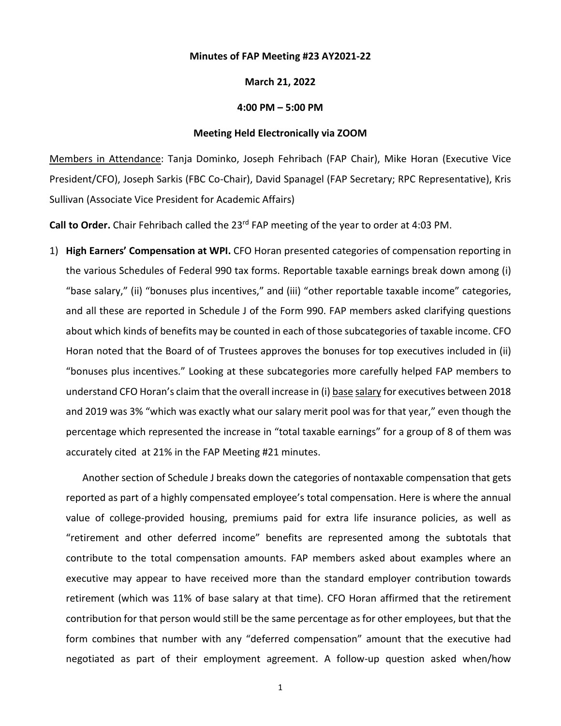## **Minutes of FAP Meeting #23 AY2021-22**

## **March 21, 2022**

## **4:00 PM – 5:00 PM**

## **Meeting Held Electronically via ZOOM**

Members in Attendance: Tanja Dominko, Joseph Fehribach (FAP Chair), Mike Horan (Executive Vice President/CFO), Joseph Sarkis (FBC Co-Chair), David Spanagel (FAP Secretary; RPC Representative), Kris Sullivan (Associate Vice President for Academic Affairs)

**Call to Order.** Chair Fehribach called the 23rd FAP meeting of the year to order at 4:03 PM.

1) **High Earners' Compensation at WPI.** CFO Horan presented categories of compensation reporting in the various Schedules of Federal 990 tax forms. Reportable taxable earnings break down among (i) "base salary," (ii) "bonuses plus incentives," and (iii) "other reportable taxable income" categories, and all these are reported in Schedule J of the Form 990. FAP members asked clarifying questions about which kinds of benefits may be counted in each of those subcategories of taxable income. CFO Horan noted that the Board of of Trustees approves the bonuses for top executives included in (ii) "bonuses plus incentives." Looking at these subcategories more carefully helped FAP members to understand CFO Horan's claim that the overall increase in (i) base salary for executives between 2018 and 2019 was 3% "which was exactly what our salary merit pool was for that year," even though the percentage which represented the increase in "total taxable earnings" for a group of 8 of them was accurately cited at 21% in the FAP Meeting #21 minutes.

Another section of Schedule J breaks down the categories of nontaxable compensation that gets reported as part of a highly compensated employee's total compensation. Here is where the annual value of college-provided housing, premiums paid for extra life insurance policies, as well as "retirement and other deferred income" benefits are represented among the subtotals that contribute to the total compensation amounts. FAP members asked about examples where an executive may appear to have received more than the standard employer contribution towards retirement (which was 11% of base salary at that time). CFO Horan affirmed that the retirement contribution for that person would still be the same percentage as for other employees, but that the form combines that number with any "deferred compensation" amount that the executive had negotiated as part of their employment agreement. A follow-up question asked when/how

1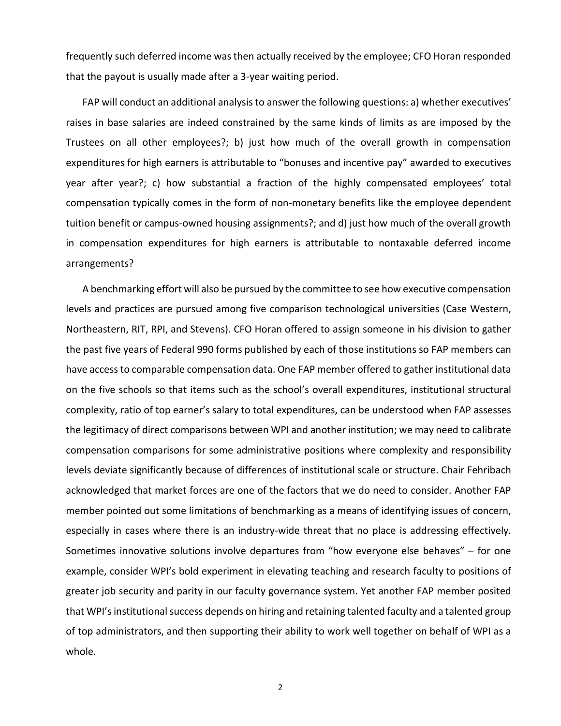frequently such deferred income was then actually received by the employee; CFO Horan responded that the payout is usually made after a 3-year waiting period.

FAP will conduct an additional analysis to answer the following questions: a) whether executives' raises in base salaries are indeed constrained by the same kinds of limits as are imposed by the Trustees on all other employees?; b) just how much of the overall growth in compensation expenditures for high earners is attributable to "bonuses and incentive pay" awarded to executives year after year?; c) how substantial a fraction of the highly compensated employees' total compensation typically comes in the form of non-monetary benefits like the employee dependent tuition benefit or campus-owned housing assignments?; and d) just how much of the overall growth in compensation expenditures for high earners is attributable to nontaxable deferred income arrangements?

A benchmarking effort will also be pursued by the committee to see how executive compensation levels and practices are pursued among five comparison technological universities (Case Western, Northeastern, RIT, RPI, and Stevens). CFO Horan offered to assign someone in his division to gather the past five years of Federal 990 forms published by each of those institutions so FAP members can have access to comparable compensation data. One FAP member offered to gather institutional data on the five schools so that items such as the school's overall expenditures, institutional structural complexity, ratio of top earner's salary to total expenditures, can be understood when FAP assesses the legitimacy of direct comparisons between WPI and another institution; we may need to calibrate compensation comparisons for some administrative positions where complexity and responsibility levels deviate significantly because of differences of institutional scale or structure. Chair Fehribach acknowledged that market forces are one of the factors that we do need to consider. Another FAP member pointed out some limitations of benchmarking as a means of identifying issues of concern, especially in cases where there is an industry-wide threat that no place is addressing effectively. Sometimes innovative solutions involve departures from "how everyone else behaves" – for one example, consider WPI's bold experiment in elevating teaching and research faculty to positions of greater job security and parity in our faculty governance system. Yet another FAP member posited that WPI's institutional success depends on hiring and retaining talented faculty and a talented group of top administrators, and then supporting their ability to work well together on behalf of WPI as a whole.

2